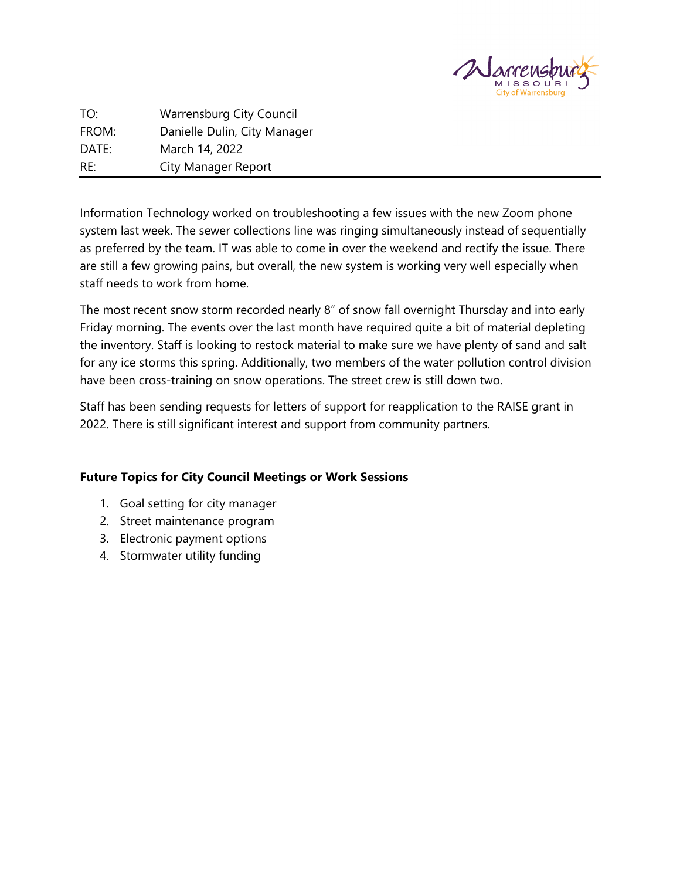

TO: Warrensburg City Council FROM: Danielle Dulin, City Manager DATE: March 14, 2022 RE: City Manager Report

Information Technology worked on troubleshooting a few issues with the new Zoom phone system last week. The sewer collections line was ringing simultaneously instead of sequentially as preferred by the team. IT was able to come in over the weekend and rectify the issue. There are still a few growing pains, but overall, the new system is working very well especially when staff needs to work from home.

The most recent snow storm recorded nearly 8" of snow fall overnight Thursday and into early Friday morning. The events over the last month have required quite a bit of material depleting the inventory. Staff is looking to restock material to make sure we have plenty of sand and salt for any ice storms this spring. Additionally, two members of the water pollution control division have been cross-training on snow operations. The street crew is still down two.

Staff has been sending requests for letters of support for reapplication to the RAISE grant in 2022. There is still significant interest and support from community partners.

# **Future Topics for City Council Meetings or Work Sessions**

- 1. Goal setting for city manager
- 2. Street maintenance program
- 3. Electronic payment options
- 4. Stormwater utility funding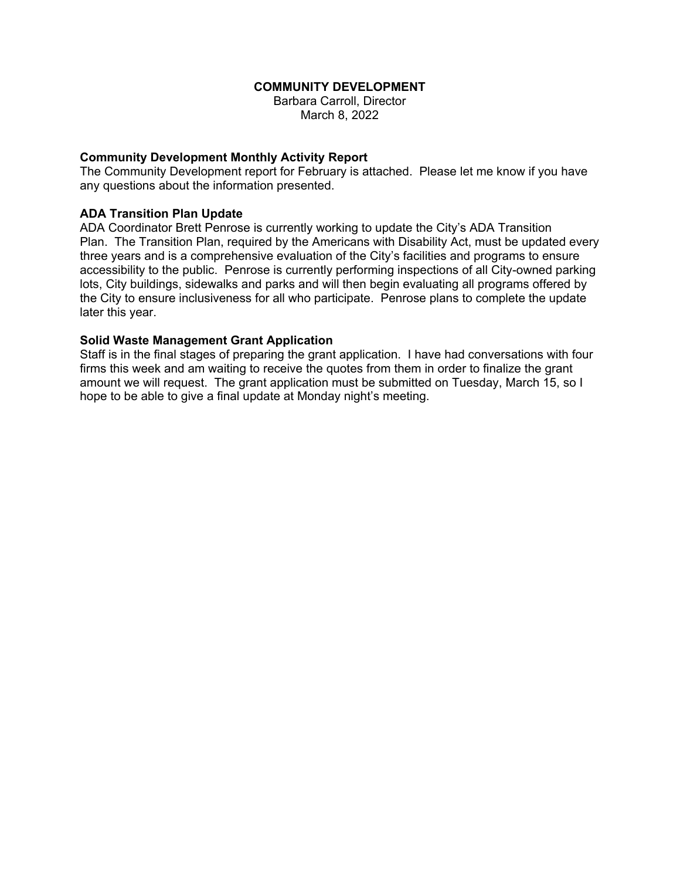### **COMMUNITY DEVELOPMENT**

Barbara Carroll, Director March 8, 2022

### **Community Development Monthly Activity Report**

The Community Development report for February is attached. Please let me know if you have any questions about the information presented.

### **ADA Transition Plan Update**

ADA Coordinator Brett Penrose is currently working to update the City's ADA Transition Plan. The Transition Plan, required by the Americans with Disability Act, must be updated every three years and is a comprehensive evaluation of the City's facilities and programs to ensure accessibility to the public. Penrose is currently performing inspections of all City-owned parking lots, City buildings, sidewalks and parks and will then begin evaluating all programs offered by the City to ensure inclusiveness for all who participate. Penrose plans to complete the update later this year.

### **Solid Waste Management Grant Application**

Staff is in the final stages of preparing the grant application. I have had conversations with four firms this week and am waiting to receive the quotes from them in order to finalize the grant amount we will request. The grant application must be submitted on Tuesday, March 15, so I hope to be able to give a final update at Monday night's meeting.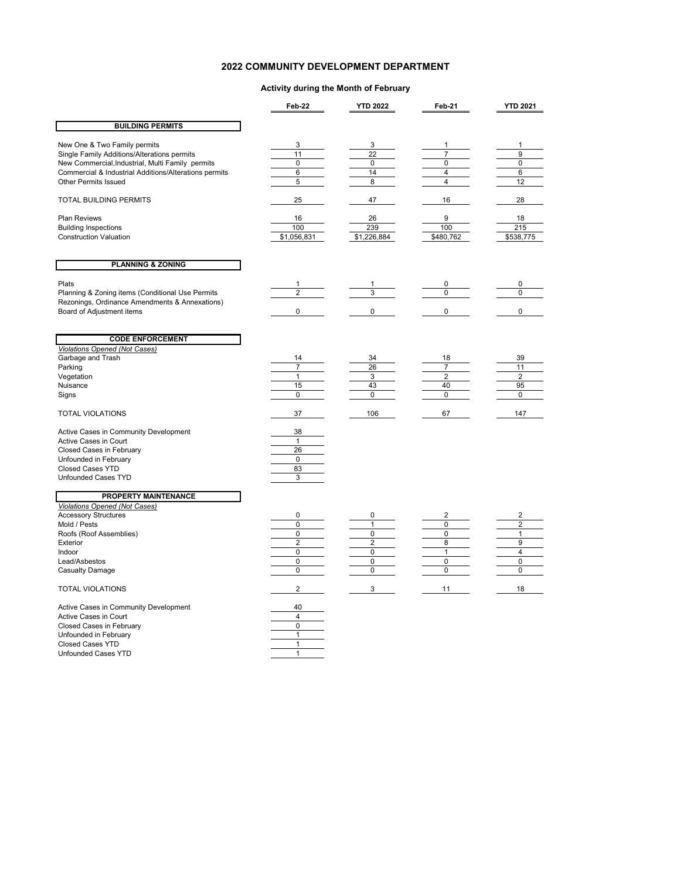### **2022 COMMUNITY DEVELOPMENT DEPARTMENT**

#### **Activity during the Month of February**

|                                                                                                                                                                                                                                                                                                                                               | Feb-22                                                                                            | <b>YTD 2022</b>                                                                   | Feb-21                                                                  | <b>YTD 2021</b>                                                                      |
|-----------------------------------------------------------------------------------------------------------------------------------------------------------------------------------------------------------------------------------------------------------------------------------------------------------------------------------------------|---------------------------------------------------------------------------------------------------|-----------------------------------------------------------------------------------|-------------------------------------------------------------------------|--------------------------------------------------------------------------------------|
| <b>BUILDING PERMITS</b>                                                                                                                                                                                                                                                                                                                       |                                                                                                   |                                                                                   |                                                                         |                                                                                      |
| New One & Two Family permits<br>Single Family Additions/Alterations permits<br>New Commercial, Industrial, Multi Family permits<br>Commercial & Industrial Additions/Alterations permits<br><b>Other Permits Issued</b>                                                                                                                       | 3<br>11<br>0<br>6<br>5                                                                            | 3<br>$\overline{22}$<br>$\mathbf 0$<br>14<br>8                                    | 1<br>$\overline{7}$<br>$\pmb{0}$<br>$\overline{4}$<br>4                 | 1<br>$\overline{9}$<br>0<br>6<br>12                                                  |
| <b>TOTAL BUILDING PERMITS</b>                                                                                                                                                                                                                                                                                                                 | 25                                                                                                | 47                                                                                | 16                                                                      | 28                                                                                   |
| Plan Reviews<br><b>Building Inspections</b><br><b>Construction Valuation</b>                                                                                                                                                                                                                                                                  | 16<br>100<br>\$1,056,831                                                                          | 26<br>239<br>\$1,226,884                                                          | 9<br>100<br>\$480,762                                                   | 18<br>215<br>\$538,775                                                               |
| <b>PLANNING &amp; ZONING</b>                                                                                                                                                                                                                                                                                                                  |                                                                                                   |                                                                                   |                                                                         |                                                                                      |
| Plats<br>Planning & Zoning items (Conditional Use Permits<br>Rezonings, Ordinance Amendments & Annexations)<br>Board of Adjustment items                                                                                                                                                                                                      | 1<br>$\overline{2}$<br>0                                                                          | 1<br>3<br>$\mathbf 0$                                                             | 0<br>$\Omega$<br>$\pmb{0}$                                              | 0<br>0<br>$\pmb{0}$                                                                  |
| <b>CODE ENFORCEMENT</b><br><b>Violations Opened (Not Cases)</b><br>Garbage and Trash<br>Parking<br>Vegetation<br>Nuisance<br>Signs<br><b>TOTAL VIOLATIONS</b><br>Active Cases in Community Development<br>Active Cases in Court<br>Closed Cases in February<br>Unfounded in February<br><b>Closed Cases YTD</b><br><b>Unfounded Cases TYD</b> | 14<br>$\overline{7}$<br>$\mathbf{1}$<br>15<br>0<br>37<br>38<br>$\mathbf{1}$<br>26<br>0<br>83<br>3 | 34<br>26<br>3<br>43<br>0<br>106                                                   | 18<br>$\overline{7}$<br>$\overline{2}$<br>40<br>$\mathbf 0$<br>67       | 39<br>11<br>$\overline{2}$<br>95<br>0<br>147                                         |
| PROPERTY MAINTENANCE<br><b>Violations Opened (Not Cases)</b><br><b>Accessory Structures</b><br>Mold / Pests<br>Roofs (Roof Assemblies)<br>Exterior<br>Indoor<br>Lead/Asbestos<br><b>Casualty Damage</b>                                                                                                                                       | 0<br>0<br>0<br>$\overline{2}$<br>$\pmb{0}$<br>$\pmb{0}$<br>$\mathbf 0$                            | 0<br>1<br>$\mathbf 0$<br>$\overline{2}$<br>$\Omega$<br>$\mathbf 0$<br>$\mathbf 0$ | 2<br>$\mathbf 0$<br>$\mathbf 0$<br>8<br>1<br>$\mathbf 0$<br>$\mathbf 0$ | 2<br>$\overline{\mathbf{c}}$<br>$\mathbf{1}$<br>9<br>4<br>$\mathbf 0$<br>$\mathbf 0$ |
| <b>TOTAL VIOLATIONS</b>                                                                                                                                                                                                                                                                                                                       | $\overline{\mathbf{c}}$                                                                           | 3                                                                                 | 11                                                                      | 18                                                                                   |
| Active Cases in Community Development<br>Active Cases in Court<br>Closed Cases in February<br>Unfounded in February<br><b>Closed Cases YTD</b><br><b>Unfounded Cases YTD</b>                                                                                                                                                                  | 40<br>4<br>0<br>$\mathbf{1}$<br>$\mathbf{1}$<br>$\mathbf{1}$                                      |                                                                                   |                                                                         |                                                                                      |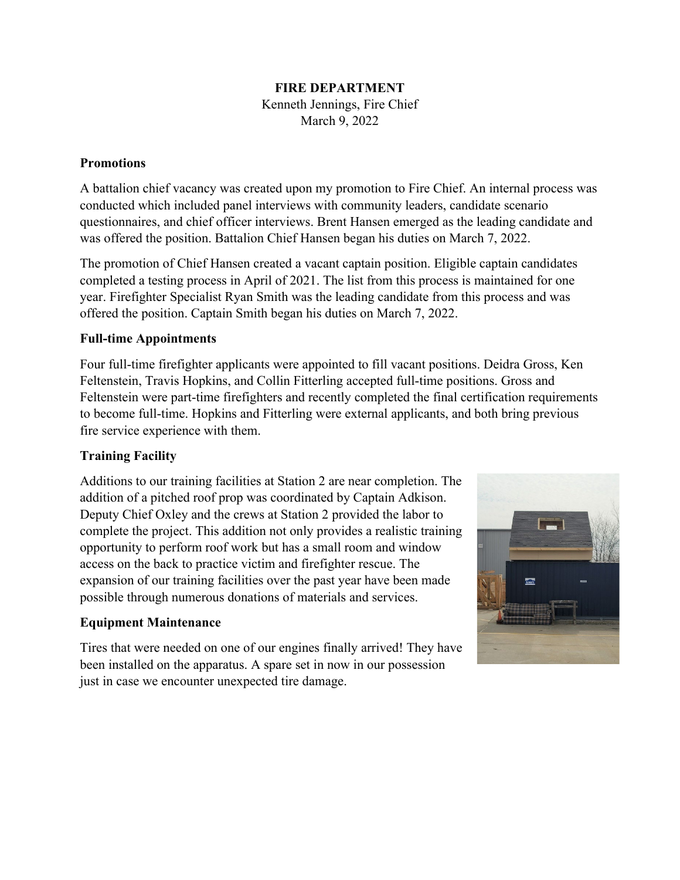## **FIRE DEPARTMENT**

Kenneth Jennings, Fire Chief March 9, 2022

## **Promotions**

A battalion chief vacancy was created upon my promotion to Fire Chief. An internal process was conducted which included panel interviews with community leaders, candidate scenario questionnaires, and chief officer interviews. Brent Hansen emerged as the leading candidate and was offered the position. Battalion Chief Hansen began his duties on March 7, 2022.

The promotion of Chief Hansen created a vacant captain position. Eligible captain candidates completed a testing process in April of 2021. The list from this process is maintained for one year. Firefighter Specialist Ryan Smith was the leading candidate from this process and was offered the position. Captain Smith began his duties on March 7, 2022.

# **Full-time Appointments**

Four full-time firefighter applicants were appointed to fill vacant positions. Deidra Gross, Ken Feltenstein, Travis Hopkins, and Collin Fitterling accepted full-time positions. Gross and Feltenstein were part-time firefighters and recently completed the final certification requirements to become full-time. Hopkins and Fitterling were external applicants, and both bring previous fire service experience with them.

# **Training Facility**

Additions to our training facilities at Station 2 are near completion. The addition of a pitched roof prop was coordinated by Captain Adkison. Deputy Chief Oxley and the crews at Station 2 provided the labor to complete the project. This addition not only provides a realistic training opportunity to perform roof work but has a small room and window access on the back to practice victim and firefighter rescue. The expansion of our training facilities over the past year have been made possible through numerous donations of materials and services.

# **Equipment Maintenance**

Tires that were needed on one of our engines finally arrived! They have been installed on the apparatus. A spare set in now in our possession just in case we encounter unexpected tire damage.

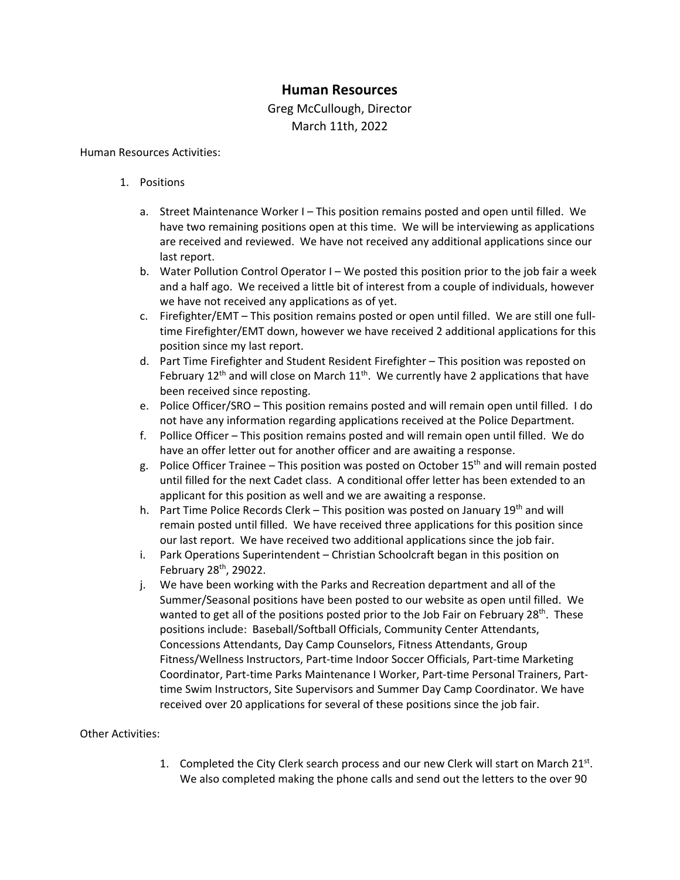# **Human Resources**

# Greg McCullough, Director March 11th, 2022

### Human Resources Activities:

- 1. Positions
	- a. Street Maintenance Worker I This position remains posted and open until filled. We have two remaining positions open at this time. We will be interviewing as applications are received and reviewed. We have not received any additional applications since our last report.
	- b. Water Pollution Control Operator I We posted this position prior to the job fair a week and a half ago. We received a little bit of interest from a couple of individuals, however we have not received any applications as of yet.
	- c. Firefighter/EMT This position remains posted or open until filled. We are still one fulltime Firefighter/EMT down, however we have received 2 additional applications for this position since my last report.
	- d. Part Time Firefighter and Student Resident Firefighter This position was reposted on February 12<sup>th</sup> and will close on March  $11<sup>th</sup>$ . We currently have 2 applications that have been received since reposting.
	- e. Police Officer/SRO This position remains posted and will remain open until filled. I do not have any information regarding applications received at the Police Department.
	- f. Pollice Officer This position remains posted and will remain open until filled. We do have an offer letter out for another officer and are awaiting a response.
	- g. Police Officer Trainee This position was posted on October  $15<sup>th</sup>$  and will remain posted until filled for the next Cadet class. A conditional offer letter has been extended to an applicant for this position as well and we are awaiting a response.
	- h. Part Time Police Records Clerk This position was posted on January 19th and will remain posted until filled. We have received three applications for this position since our last report. We have received two additional applications since the job fair.
	- i. Park Operations Superintendent Christian Schoolcraft began in this position on February 28th, 29022.
	- j. We have been working with the Parks and Recreation department and all of the Summer/Seasonal positions have been posted to our website as open until filled. We wanted to get all of the positions posted prior to the Job Fair on February 28<sup>th</sup>. These positions include: Baseball/Softball Officials, Community Center Attendants, Concessions Attendants, Day Camp Counselors, Fitness Attendants, Group Fitness/Wellness Instructors, Part-time Indoor Soccer Officials, Part-time Marketing Coordinator, Part-time Parks Maintenance I Worker, Part-time Personal Trainers, Parttime Swim Instructors, Site Supervisors and Summer Day Camp Coordinator. We have received over 20 applications for several of these positions since the job fair.

### Other Activities:

1. Completed the City Clerk search process and our new Clerk will start on March  $21^{st}$ . We also completed making the phone calls and send out the letters to the over 90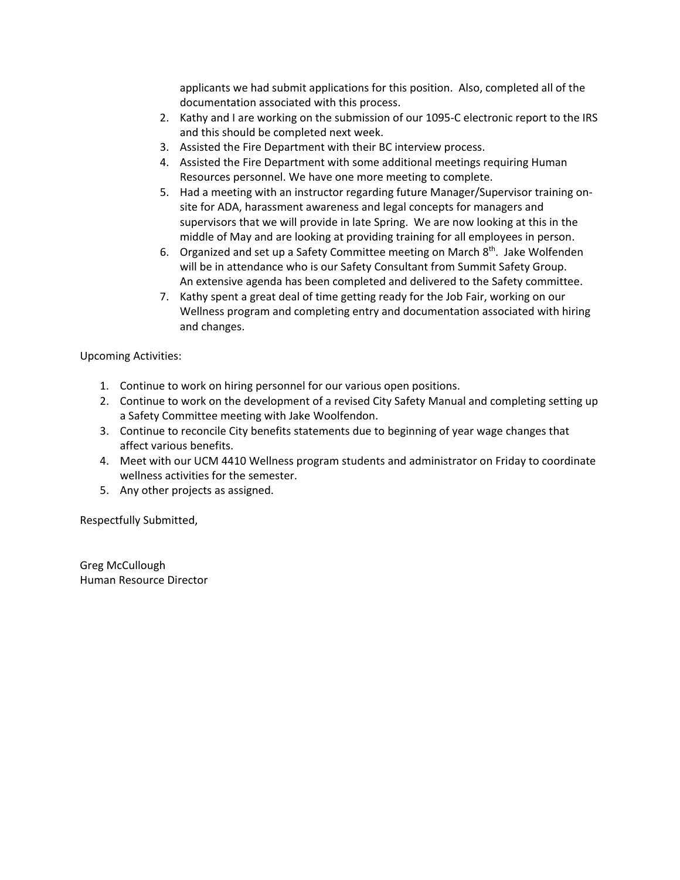applicants we had submit applications for this position. Also, completed all of the documentation associated with this process.

- 2. Kathy and I are working on the submission of our 1095-C electronic report to the IRS and this should be completed next week.
- 3. Assisted the Fire Department with their BC interview process.
- 4. Assisted the Fire Department with some additional meetings requiring Human Resources personnel. We have one more meeting to complete.
- 5. Had a meeting with an instructor regarding future Manager/Supervisor training onsite for ADA, harassment awareness and legal concepts for managers and supervisors that we will provide in late Spring. We are now looking at this in the middle of May and are looking at providing training for all employees in person.
- 6. Organized and set up a Safety Committee meeting on March  $8<sup>th</sup>$ . Jake Wolfenden will be in attendance who is our Safety Consultant from Summit Safety Group. An extensive agenda has been completed and delivered to the Safety committee.
- 7. Kathy spent a great deal of time getting ready for the Job Fair, working on our Wellness program and completing entry and documentation associated with hiring and changes.

Upcoming Activities:

- 1. Continue to work on hiring personnel for our various open positions.
- 2. Continue to work on the development of a revised City Safety Manual and completing setting up a Safety Committee meeting with Jake Woolfendon.
- 3. Continue to reconcile City benefits statements due to beginning of year wage changes that affect various benefits.
- 4. Meet with our UCM 4410 Wellness program students and administrator on Friday to coordinate wellness activities for the semester.
- 5. Any other projects as assigned.

Respectfully Submitted,

Greg McCullough Human Resource Director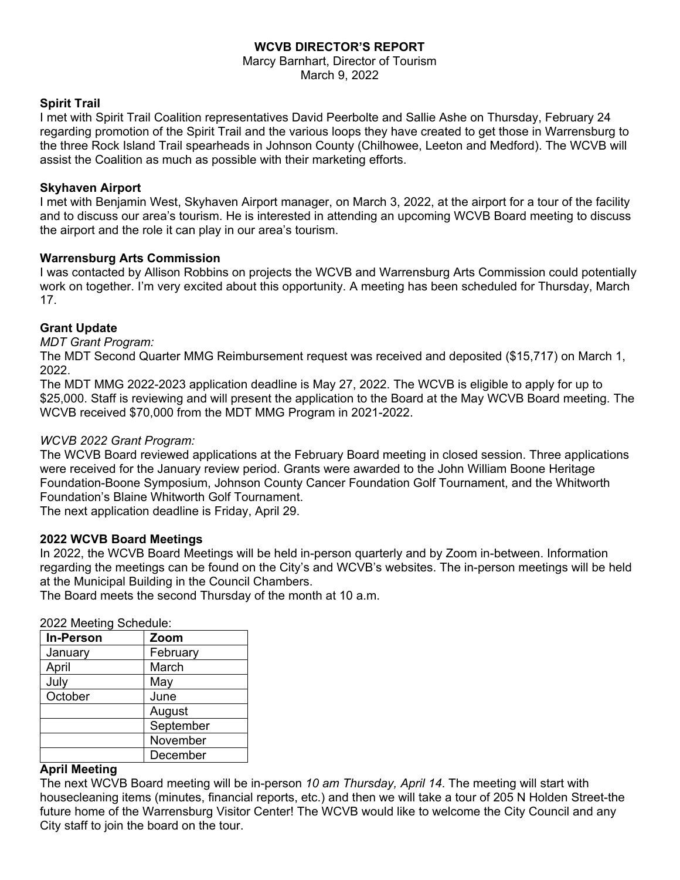# **WCVB DIRECTOR'S REPORT**

Marcy Barnhart, Director of Tourism March 9, 2022

### **Spirit Trail**

I met with Spirit Trail Coalition representatives David Peerbolte and Sallie Ashe on Thursday, February 24 regarding promotion of the Spirit Trail and the various loops they have created to get those in Warrensburg to the three Rock Island Trail spearheads in Johnson County (Chilhowee, Leeton and Medford). The WCVB will assist the Coalition as much as possible with their marketing efforts.

### **Skyhaven Airport**

I met with Benjamin West, Skyhaven Airport manager, on March 3, 2022, at the airport for a tour of the facility and to discuss our area's tourism. He is interested in attending an upcoming WCVB Board meeting to discuss the airport and the role it can play in our area's tourism.

### **Warrensburg Arts Commission**

I was contacted by Allison Robbins on projects the WCVB and Warrensburg Arts Commission could potentially work on together. I'm very excited about this opportunity. A meeting has been scheduled for Thursday, March 17.

## **Grant Update**

*MDT Grant Program:* 

The MDT Second Quarter MMG Reimbursement request was received and deposited (\$15,717) on March 1, 2022.

The MDT MMG 2022-2023 application deadline is May 27, 2022. The WCVB is eligible to apply for up to \$25,000. Staff is reviewing and will present the application to the Board at the May WCVB Board meeting. The WCVB received \$70,000 from the MDT MMG Program in 2021-2022.

### *WCVB 2022 Grant Program:*

The WCVB Board reviewed applications at the February Board meeting in closed session. Three applications were received for the January review period. Grants were awarded to the John William Boone Heritage Foundation-Boone Symposium, Johnson County Cancer Foundation Golf Tournament, and the Whitworth Foundation's Blaine Whitworth Golf Tournament.

The next application deadline is Friday, April 29.

### **2022 WCVB Board Meetings**

In 2022, the WCVB Board Meetings will be held in-person quarterly and by Zoom in-between. Information regarding the meetings can be found on the City's and WCVB's websites. The in-person meetings will be held at the Municipal Building in the Council Chambers.

The Board meets the second Thursday of the month at 10 a.m.

| <b>In-Person</b> | Zoom      |
|------------------|-----------|
| January          | February  |
| April            | March     |
| July             | May       |
| October          | June      |
|                  | August    |
|                  | September |
|                  | November  |
|                  | December  |

### **April Meeting**

The next WCVB Board meeting will be in-person *10 am Thursday, April 14*. The meeting will start with housecleaning items (minutes, financial reports, etc.) and then we will take a tour of 205 N Holden Street-the future home of the Warrensburg Visitor Center! The WCVB would like to welcome the City Council and any City staff to join the board on the tour.